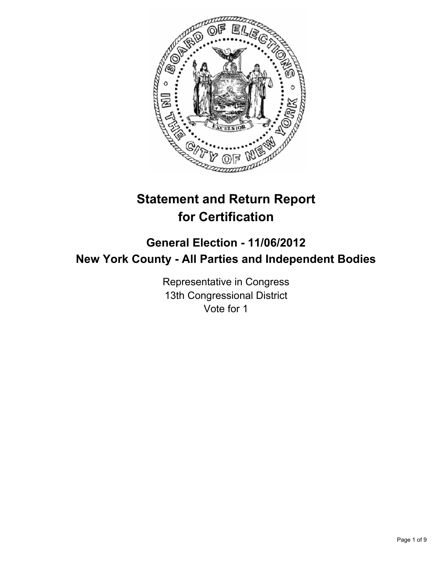

# **Statement and Return Report for Certification**

## **General Election - 11/06/2012 New York County - All Parties and Independent Bodies**

Representative in Congress 13th Congressional District Vote for 1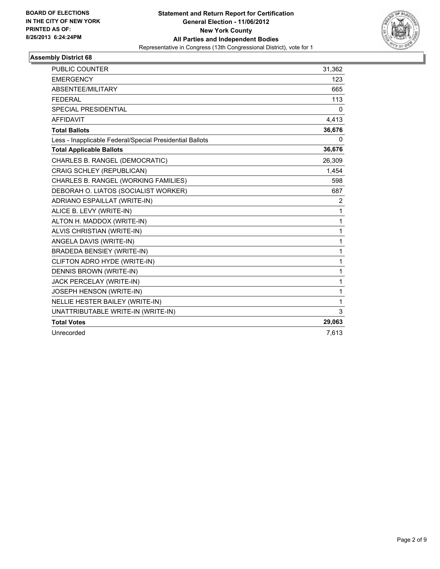

| <b>PUBLIC COUNTER</b>                                    | 31,362       |
|----------------------------------------------------------|--------------|
| <b>EMERGENCY</b>                                         | 123          |
| ABSENTEE/MILITARY                                        | 665          |
| <b>FEDERAL</b>                                           | 113          |
| SPECIAL PRESIDENTIAL                                     | 0            |
| <b>AFFIDAVIT</b>                                         | 4,413        |
| <b>Total Ballots</b>                                     | 36,676       |
| Less - Inapplicable Federal/Special Presidential Ballots | 0            |
| <b>Total Applicable Ballots</b>                          | 36,676       |
| CHARLES B. RANGEL (DEMOCRATIC)                           | 26,309       |
| CRAIG SCHLEY (REPUBLICAN)                                | 1,454        |
| CHARLES B. RANGEL (WORKING FAMILIES)                     | 598          |
| DEBORAH O. LIATOS (SOCIALIST WORKER)                     | 687          |
| ADRIANO ESPAILLAT (WRITE-IN)                             | 2            |
| ALICE B. LEVY (WRITE-IN)                                 | 1            |
| ALTON H. MADDOX (WRITE-IN)                               | $\mathbf{1}$ |
| ALVIS CHRISTIAN (WRITE-IN)                               | $\mathbf{1}$ |
| ANGELA DAVIS (WRITE-IN)                                  | $\mathbf{1}$ |
| <b>BRADEDA BENSIEY (WRITE-IN)</b>                        | $\mathbf{1}$ |
| CLIFTON ADRO HYDE (WRITE-IN)                             | $\mathbf{1}$ |
| <b>DENNIS BROWN (WRITE-IN)</b>                           | $\mathbf{1}$ |
| JACK PERCELAY (WRITE-IN)                                 | 1            |
| JOSEPH HENSON (WRITE-IN)                                 | 1            |
| NELLIE HESTER BAILEY (WRITE-IN)                          | 1            |
| UNATTRIBUTABLE WRITE-IN (WRITE-IN)                       | 3            |
| <b>Total Votes</b>                                       | 29,063       |
| Unrecorded                                               | 7,613        |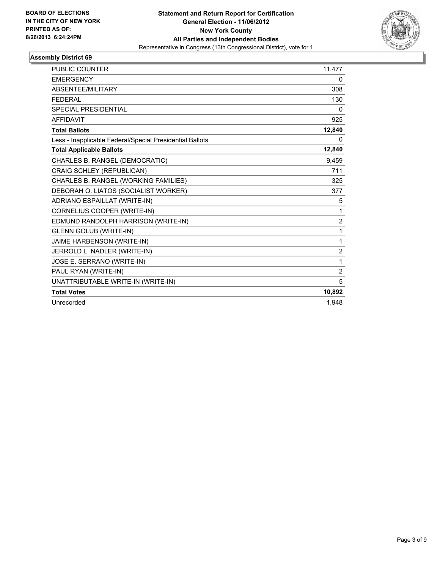

| <b>PUBLIC COUNTER</b>                                    | 11,477         |
|----------------------------------------------------------|----------------|
| <b>EMERGENCY</b>                                         | 0              |
| ABSENTEE/MILITARY                                        | 308            |
| <b>FEDERAL</b>                                           | 130            |
| <b>SPECIAL PRESIDENTIAL</b>                              | 0              |
| <b>AFFIDAVIT</b>                                         | 925            |
| <b>Total Ballots</b>                                     | 12,840         |
| Less - Inapplicable Federal/Special Presidential Ballots | 0              |
| <b>Total Applicable Ballots</b>                          | 12,840         |
| CHARLES B. RANGEL (DEMOCRATIC)                           | 9,459          |
| CRAIG SCHLEY (REPUBLICAN)                                | 711            |
| CHARLES B. RANGEL (WORKING FAMILIES)                     | 325            |
| DEBORAH O. LIATOS (SOCIALIST WORKER)                     | 377            |
| ADRIANO ESPAILLAT (WRITE-IN)                             | 5              |
| CORNELIUS COOPER (WRITE-IN)                              | 1              |
| EDMUND RANDOLPH HARRISON (WRITE-IN)                      | $\overline{2}$ |
| <b>GLENN GOLUB (WRITE-IN)</b>                            | 1              |
| JAIME HARBENSON (WRITE-IN)                               | 1              |
| JERROLD L. NADLER (WRITE-IN)                             | $\overline{2}$ |
| JOSE E. SERRANO (WRITE-IN)                               | 1              |
| PAUL RYAN (WRITE-IN)                                     | $\overline{2}$ |
| UNATTRIBUTABLE WRITE-IN (WRITE-IN)                       | 5              |
| <b>Total Votes</b>                                       | 10,892         |
| Unrecorded                                               | 1.948          |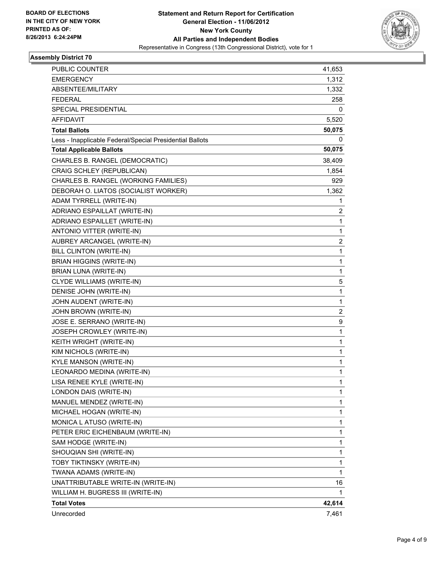

| <b>PUBLIC COUNTER</b>                                    | 41,653       |
|----------------------------------------------------------|--------------|
| <b>EMERGENCY</b>                                         | 1,312        |
| ABSENTEE/MILITARY                                        | 1,332        |
| <b>FEDERAL</b>                                           | 258          |
| SPECIAL PRESIDENTIAL                                     | 0            |
| AFFIDAVIT                                                | 5,520        |
| <b>Total Ballots</b>                                     | 50,075       |
| Less - Inapplicable Federal/Special Presidential Ballots | 0            |
| <b>Total Applicable Ballots</b>                          | 50,075       |
| CHARLES B. RANGEL (DEMOCRATIC)                           | 38,409       |
| CRAIG SCHLEY (REPUBLICAN)                                | 1,854        |
| CHARLES B. RANGEL (WORKING FAMILIES)                     | 929          |
| DEBORAH O. LIATOS (SOCIALIST WORKER)                     | 1,362        |
| ADAM TYRRELL (WRITE-IN)                                  | 1            |
| ADRIANO ESPAILLAT (WRITE-IN)                             | 2            |
| ADRIANO ESPAILLET (WRITE-IN)                             | 1            |
| ANTONIO VITTER (WRITE-IN)                                | 1            |
| AUBREY ARCANGEL (WRITE-IN)                               | 2            |
| BILL CLINTON (WRITE-IN)                                  | 1            |
| <b>BRIAN HIGGINS (WRITE-IN)</b>                          | $\mathbf{1}$ |
| BRIAN LUNA (WRITE-IN)                                    | 1            |
| CLYDE WILLIAMS (WRITE-IN)                                | 5            |
| DENISE JOHN (WRITE-IN)                                   | 1            |
| JOHN AUDENT (WRITE-IN)                                   | 1            |
| JOHN BROWN (WRITE-IN)                                    | 2            |
| JOSE E. SERRANO (WRITE-IN)                               | 9            |
| JOSEPH CROWLEY (WRITE-IN)                                | 1            |
| KEITH WRIGHT (WRITE-IN)                                  | 1            |
| KIM NICHOLS (WRITE-IN)                                   | 1            |
| KYLE MANSON (WRITE-IN)                                   | 1            |
| LEONARDO MEDINA (WRITE-IN)                               | 1            |
| LISA RENEE KYLE (WRITE-IN)                               | 1            |
| LONDON DAIS (WRITE-IN)                                   | 1            |
| MANUEL MENDEZ (WRITE-IN)                                 | 1            |
| MICHAEL HOGAN (WRITE-IN)                                 | 1            |
| MONICA L ATUSO (WRITE-IN)                                | 1            |
| PETER ERIC EICHENBAUM (WRITE-IN)                         | 1            |
| SAM HODGE (WRITE-IN)                                     | 1            |
| SHOUQIAN SHI (WRITE-IN)                                  | 1            |
| TOBY TIKTINSKY (WRITE-IN)                                | 1            |
| TWANA ADAMS (WRITE-IN)                                   | 1            |
| UNATTRIBUTABLE WRITE-IN (WRITE-IN)                       | 16           |
| WILLIAM H. BUGRESS III (WRITE-IN)                        | 1            |
| <b>Total Votes</b>                                       | 42,614       |
| Unrecorded                                               | 7,461        |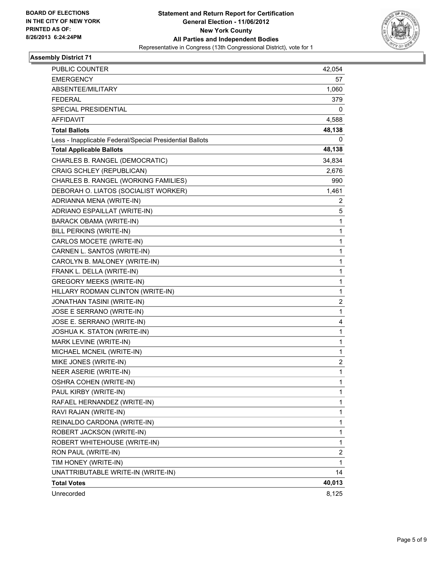

| PUBLIC COUNTER                                           | 42,054 |
|----------------------------------------------------------|--------|
| <b>EMERGENCY</b>                                         | 57     |
| ABSENTEE/MILITARY                                        | 1,060  |
| <b>FEDERAL</b>                                           | 379    |
| SPECIAL PRESIDENTIAL                                     | 0      |
| AFFIDAVIT                                                | 4,588  |
| <b>Total Ballots</b>                                     | 48,138 |
| Less - Inapplicable Federal/Special Presidential Ballots | 0      |
| <b>Total Applicable Ballots</b>                          | 48,138 |
| CHARLES B. RANGEL (DEMOCRATIC)                           | 34,834 |
| CRAIG SCHLEY (REPUBLICAN)                                | 2,676  |
| CHARLES B. RANGEL (WORKING FAMILIES)                     | 990    |
| DEBORAH O. LIATOS (SOCIALIST WORKER)                     | 1,461  |
| ADRIANNA MENA (WRITE-IN)                                 | 2      |
| ADRIANO ESPAILLAT (WRITE-IN)                             | 5      |
| BARACK OBAMA (WRITE-IN)                                  | 1      |
| BILL PERKINS (WRITE-IN)                                  | 1      |
| CARLOS MOCETE (WRITE-IN)                                 | 1      |
| CARNEN L. SANTOS (WRITE-IN)                              | 1      |
| CAROLYN B. MALONEY (WRITE-IN)                            | 1      |
| FRANK L. DELLA (WRITE-IN)                                | 1      |
| <b>GREGORY MEEKS (WRITE-IN)</b>                          | 1      |
| HILLARY RODMAN CLINTON (WRITE-IN)                        | 1      |
| JONATHAN TASINI (WRITE-IN)                               | 2      |
| JOSE E SERRANO (WRITE-IN)                                | 1      |
| JOSE E. SERRANO (WRITE-IN)                               | 4      |
| JOSHUA K. STATON (WRITE-IN)                              | 1      |
| MARK LEVINE (WRITE-IN)                                   | 1      |
| MICHAEL MCNEIL (WRITE-IN)                                | 1      |
| MIKE JONES (WRITE-IN)                                    | 2      |
| NEER ASERIE (WRITE-IN)                                   | 1      |
| OSHRA COHEN (WRITE-IN)                                   | 1      |
| PAUL KIRBY (WRITE-IN)                                    | 1      |
| RAFAEL HERNANDEZ (WRITE-IN)                              | 1      |
| RAVI RAJAN (WRITE-IN)                                    | 1      |
| REINALDO CARDONA (WRITE-IN)                              | 1      |
| ROBERT JACKSON (WRITE-IN)                                | 1      |
| ROBERT WHITEHOUSE (WRITE-IN)                             | 1      |
| RON PAUL (WRITE-IN)                                      | 2      |
| TIM HONEY (WRITE-IN)                                     | 1      |
| UNATTRIBUTABLE WRITE-IN (WRITE-IN)                       | 14     |
| <b>Total Votes</b>                                       | 40,013 |
| Unrecorded                                               | 8,125  |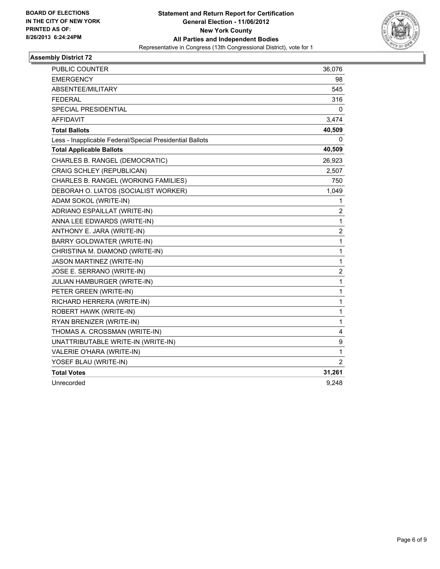

| <b>PUBLIC COUNTER</b>                                    | 36,076                  |
|----------------------------------------------------------|-------------------------|
| <b>EMERGENCY</b>                                         | 98                      |
| ABSENTEE/MILITARY                                        | 545                     |
| <b>FEDERAL</b>                                           | 316                     |
| SPECIAL PRESIDENTIAL                                     | 0                       |
| AFFIDAVIT                                                | 3,474                   |
| <b>Total Ballots</b>                                     | 40,509                  |
| Less - Inapplicable Federal/Special Presidential Ballots | 0                       |
| <b>Total Applicable Ballots</b>                          | 40,509                  |
| CHARLES B. RANGEL (DEMOCRATIC)                           | 26,923                  |
| CRAIG SCHLEY (REPUBLICAN)                                | 2,507                   |
| CHARLES B. RANGEL (WORKING FAMILIES)                     | 750                     |
| DEBORAH O. LIATOS (SOCIALIST WORKER)                     | 1,049                   |
| ADAM SOKOL (WRITE-IN)                                    | 1                       |
| ADRIANO ESPAILLAT (WRITE-IN)                             | $\overline{c}$          |
| ANNA LEE EDWARDS (WRITE-IN)                              | 1                       |
| ANTHONY E. JARA (WRITE-IN)                               | 2                       |
| <b>BARRY GOLDWATER (WRITE-IN)</b>                        | $\mathbf{1}$            |
| CHRISTINA M. DIAMOND (WRITE-IN)                          | $\mathbf{1}$            |
| JASON MARTINEZ (WRITE-IN)                                | 1                       |
| JOSE E. SERRANO (WRITE-IN)                               | $\overline{\mathbf{c}}$ |
| <b>JULIAN HAMBURGER (WRITE-IN)</b>                       | 1                       |
| PETER GREEN (WRITE-IN)                                   | 1                       |
| RICHARD HERRERA (WRITE-IN)                               | 1                       |
| ROBERT HAWK (WRITE-IN)                                   | 1                       |
| RYAN BRENIZER (WRITE-IN)                                 | 1                       |
| THOMAS A. CROSSMAN (WRITE-IN)                            | 4                       |
| UNATTRIBUTABLE WRITE-IN (WRITE-IN)                       | 9                       |
| VALERIE O'HARA (WRITE-IN)                                | $\mathbf{1}$            |
| YOSEF BLAU (WRITE-IN)                                    | 2                       |
| <b>Total Votes</b>                                       | 31,261                  |
| Unrecorded                                               | 9,248                   |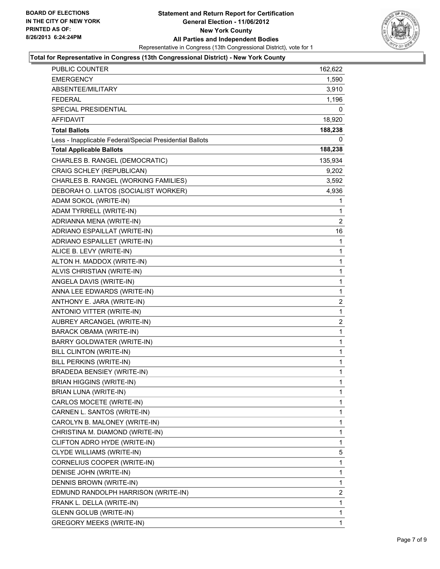

#### **Total for Representative in Congress (13th Congressional District) - New York County**

| PUBLIC COUNTER                                           | 162,622                 |
|----------------------------------------------------------|-------------------------|
| EMERGENCY                                                | 1,590                   |
| ABSENTEE/MILITARY                                        | 3,910                   |
| <b>FEDERAL</b>                                           | 1,196                   |
| SPECIAL PRESIDENTIAL                                     | 0                       |
| <b>AFFIDAVIT</b>                                         | 18,920                  |
| <b>Total Ballots</b>                                     | 188,238                 |
| Less - Inapplicable Federal/Special Presidential Ballots | 0                       |
| <b>Total Applicable Ballots</b>                          | 188,238                 |
| CHARLES B. RANGEL (DEMOCRATIC)                           | 135,934                 |
| CRAIG SCHLEY (REPUBLICAN)                                | 9,202                   |
| CHARLES B. RANGEL (WORKING FAMILIES)                     | 3,592                   |
| DEBORAH O. LIATOS (SOCIALIST WORKER)                     | 4,936                   |
| ADAM SOKOL (WRITE-IN)                                    | 1                       |
| ADAM TYRRELL (WRITE-IN)                                  | 1                       |
| ADRIANNA MENA (WRITE-IN)                                 | 2                       |
| ADRIANO ESPAILLAT (WRITE-IN)                             | 16                      |
| ADRIANO ESPAILLET (WRITE-IN)                             | 1                       |
| ALICE B. LEVY (WRITE-IN)                                 | 1                       |
| ALTON H. MADDOX (WRITE-IN)                               | 1                       |
| ALVIS CHRISTIAN (WRITE-IN)                               | 1                       |
| ANGELA DAVIS (WRITE-IN)                                  | $\mathbf{1}$            |
| ANNA LEE EDWARDS (WRITE-IN)                              | 1                       |
| ANTHONY E. JARA (WRITE-IN)                               | 2                       |
| ANTONIO VITTER (WRITE-IN)                                | 1                       |
| AUBREY ARCANGEL (WRITE-IN)                               | $\overline{\mathbf{c}}$ |
| <b>BARACK OBAMA (WRITE-IN)</b>                           | 1                       |
| BARRY GOLDWATER (WRITE-IN)                               | $\mathbf{1}$            |
| BILL CLINTON (WRITE-IN)                                  | 1                       |
| BILL PERKINS (WRITE-IN)                                  | 1                       |
| <b>BRADEDA BENSIEY (WRITE-IN)</b>                        | 1                       |
| <b>BRIAN HIGGINS (WRITE-IN)</b>                          | $\mathbf{1}$            |
| BRIAN LUNA (WRITE-IN)                                    | 1                       |
| CARLOS MOCETE (WRITE-IN)                                 | 1                       |
| CARNEN L. SANTOS (WRITE-IN)                              | 1                       |
| CAROLYN B. MALONEY (WRITE-IN)                            | 1                       |
| CHRISTINA M. DIAMOND (WRITE-IN)                          | 1                       |
| CLIFTON ADRO HYDE (WRITE-IN)                             | 1                       |
| CLYDE WILLIAMS (WRITE-IN)                                | 5                       |
| CORNELIUS COOPER (WRITE-IN)                              | 1                       |
| DENISE JOHN (WRITE-IN)                                   | 1                       |
| DENNIS BROWN (WRITE-IN)                                  | 1                       |
| EDMUND RANDOLPH HARRISON (WRITE-IN)                      | 2                       |
| FRANK L. DELLA (WRITE-IN)                                | 1                       |
| <b>GLENN GOLUB (WRITE-IN)</b>                            | 1                       |
| <b>GREGORY MEEKS (WRITE-IN)</b>                          | 1                       |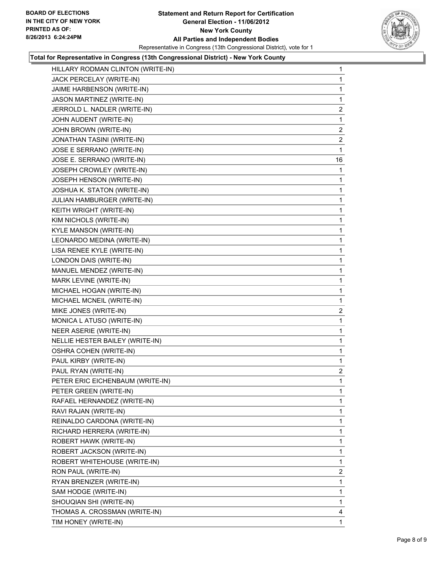

### **Total for Representative in Congress (13th Congressional District) - New York County**

| HILLARY RODMAN CLINTON (WRITE-IN) | 1              |
|-----------------------------------|----------------|
| JACK PERCELAY (WRITE-IN)          | 1              |
| JAIME HARBENSON (WRITE-IN)        | 1              |
| JASON MARTINEZ (WRITE-IN)         | 1              |
| JERROLD L. NADLER (WRITE-IN)      | $\overline{2}$ |
| JOHN AUDENT (WRITE-IN)            | 1              |
| JOHN BROWN (WRITE-IN)             | $\overline{2}$ |
| JONATHAN TASINI (WRITE-IN)        | 2              |
| JOSE E SERRANO (WRITE-IN)         | 1              |
| JOSE E. SERRANO (WRITE-IN)        | 16             |
| JOSEPH CROWLEY (WRITE-IN)         | 1              |
| JOSEPH HENSON (WRITE-IN)          | 1              |
| JOSHUA K. STATON (WRITE-IN)       | 1              |
| JULIAN HAMBURGER (WRITE-IN)       | 1              |
| KEITH WRIGHT (WRITE-IN)           | 1              |
| KIM NICHOLS (WRITE-IN)            | 1              |
| KYLE MANSON (WRITE-IN)            | 1              |
| LEONARDO MEDINA (WRITE-IN)        | 1              |
| LISA RENEE KYLE (WRITE-IN)        | 1              |
| LONDON DAIS (WRITE-IN)            | 1              |
| MANUEL MENDEZ (WRITE-IN)          | 1              |
| MARK LEVINE (WRITE-IN)            | 1              |
| MICHAEL HOGAN (WRITE-IN)          | 1              |
| MICHAEL MCNEIL (WRITE-IN)         | 1              |
| MIKE JONES (WRITE-IN)             | $\overline{2}$ |
| MONICA L ATUSO (WRITE-IN)         | 1              |
| NEER ASERIE (WRITE-IN)            | 1              |
| NELLIE HESTER BAILEY (WRITE-IN)   | 1              |
| OSHRA COHEN (WRITE-IN)            | 1              |
| PAUL KIRBY (WRITE-IN)             | 1              |
| PAUL RYAN (WRITE-IN)              | $\overline{2}$ |
| PETER ERIC EICHENBAUM (WRITE-IN)  | 1              |
| PETER GREEN (WRITE-IN)            | 1              |
| RAFAEL HERNANDEZ (WRITE-IN)       | 1              |
| RAVI RAJAN (WRITE-IN)             | 1              |
| REINALDO CARDONA (WRITE-IN)       | 1              |
| RICHARD HERRERA (WRITE-IN)        | 1              |
| ROBERT HAWK (WRITE-IN)            | 1              |
| ROBERT JACKSON (WRITE-IN)         | 1              |
| ROBERT WHITEHOUSE (WRITE-IN)      | 1              |
| RON PAUL (WRITE-IN)               | 2              |
| RYAN BRENIZER (WRITE-IN)          | 1              |
| SAM HODGE (WRITE-IN)              | 1              |
| SHOUQIAN SHI (WRITE-IN)           | 1              |
| THOMAS A. CROSSMAN (WRITE-IN)     | 4              |
| TIM HONEY (WRITE-IN)              | 1              |